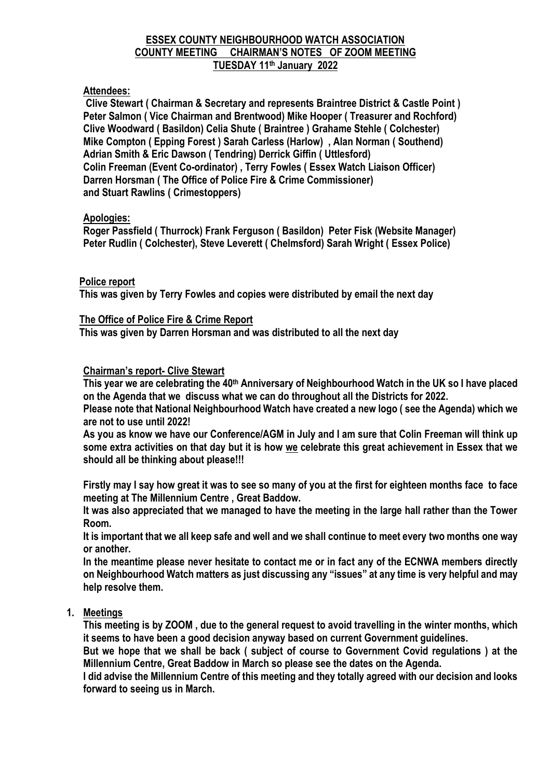### **ESSEX COUNTY NEIGHBOURHOOD WATCH ASSOCIATION COUNTY MEETING CHAIRMAN'S NOTES OF ZOOM MEETING TUESDAY 11th January 2022**

### **Attendees:**

**Clive Stewart ( Chairman & Secretary and represents Braintree District & Castle Point ) Peter Salmon ( Vice Chairman and Brentwood) Mike Hooper ( Treasurer and Rochford) Clive Woodward ( Basildon) Celia Shute ( Braintree ) Grahame Stehle ( Colchester) Mike Compton ( Epping Forest ) Sarah Carless (Harlow) , Alan Norman ( Southend) Adrian Smith & Eric Dawson ( Tendring) Derrick Giffin ( Uttlesford) Colin Freeman (Event Co-ordinator) , Terry Fowles ( Essex Watch Liaison Officer) Darren Horsman ( The Office of Police Fire & Crime Commissioner) and Stuart Rawlins ( Crimestoppers)** 

### **Apologies:**

**Roger Passfield ( Thurrock) Frank Ferguson ( Basildon) Peter Fisk (Website Manager) Peter Rudlin ( Colchester), Steve Leverett ( Chelmsford) Sarah Wright ( Essex Police)** 

### **Police report**

 **This was given by Terry Fowles and copies were distributed by email the next day**

#### **The Office of Police Fire & Crime Report**

 **This was given by Darren Horsman and was distributed to all the next day** 

### **Chairman's report- Clive Stewart**

**This year we are celebrating the 40th Anniversary of Neighbourhood Watch in the UK so I have placed on the Agenda that we discuss what we can do throughout all the Districts for 2022.** 

**Please note that National Neighbourhood Watch have created a new logo ( see the Agenda) which we are not to use until 2022!**

**As you as know we have our Conference/AGM in July and I am sure that Colin Freeman will think up some extra activities on that day but it is how we celebrate this great achievement in Essex that we should all be thinking about please!!!**

**Firstly may I say how great it was to see so many of you at the first for eighteen months face to face meeting at The Millennium Centre , Great Baddow.**

**It was also appreciated that we managed to have the meeting in the large hall rather than the Tower Room.**

**It is important that we all keep safe and well and we shall continue to meet every two months one way or another.**

**In the meantime please never hesitate to contact me or in fact any of the ECNWA members directly on Neighbourhood Watch matters as just discussing any "issues" at any time is very helpful and may help resolve them.**

### **1. Meetings**

**This meeting is by ZOOM , due to the general request to avoid travelling in the winter months, which it seems to have been a good decision anyway based on current Government guidelines.**

**But we hope that we shall be back ( subject of course to Government Covid regulations ) at the Millennium Centre, Great Baddow in March so please see the dates on the Agenda.**

**I did advise the Millennium Centre of this meeting and they totally agreed with our decision and looks forward to seeing us in March.**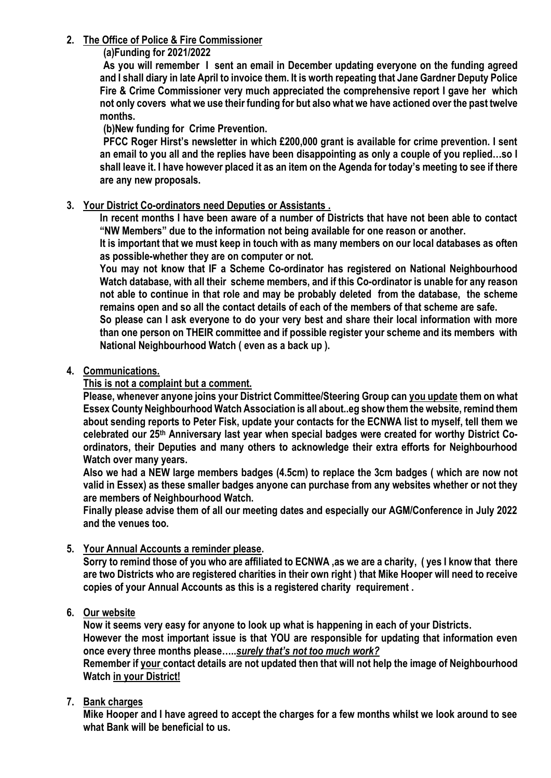### **2. The Office of Police & Fire Commissioner**

# **(a)Funding for 2021/2022**

**As you will remember I sent an email in December updating everyone on the funding agreed and I shall diary in late April to invoice them. It is worth repeating that Jane Gardner Deputy Police Fire & Crime Commissioner very much appreciated the comprehensive report I gave her which not only covers what we use their funding for but also what we have actioned over the past twelve months.**

**(b)New funding for Crime Prevention.** 

**PFCC Roger Hirst's newsletter in which £200,000 grant is available for crime prevention. I sent an email to you all and the replies have been disappointing as only a couple of you replied…so I shall leave it. I have however placed it as an item on the Agenda for today's meeting to see if there are any new proposals.**

# **3. Your District Co-ordinators need Deputies or Assistants .**

**In recent months I have been aware of a number of Districts that have not been able to contact "NW Members" due to the information not being available for one reason or another.**

**It is important that we must keep in touch with as many members on our local databases as often as possible-whether they are on computer or not.**

**You may not know that IF a Scheme Co-ordinator has registered on National Neighbourhood Watch database, with all their scheme members, and if this Co-ordinator is unable for any reason not able to continue in that role and may be probably deleted from the database, the scheme remains open and so all the contact details of each of the members of that scheme are safe.**

**So please can I ask everyone to do your very best and share their local information with more than one person on THEIR committee and if possible register your scheme and its members with National Neighbourhood Watch ( even as a back up ).**

# **4. Communications.**

# **This is not a complaint but a comment.**

**Please, whenever anyone joins your District Committee/Steering Group can you update them on what Essex County Neighbourhood Watch Association is all about..eg show them the website, remind them about sending reports to Peter Fisk, update your contacts for the ECNWA list to myself, tell them we celebrated our 25th Anniversary last year when special badges were created for worthy District Coordinators, their Deputies and many others to acknowledge their extra efforts for Neighbourhood Watch over many years.**

**Also we had a NEW large members badges (4.5cm) to replace the 3cm badges ( which are now not valid in Essex) as these smaller badges anyone can purchase from any websites whether or not they are members of Neighbourhood Watch.** 

**Finally please advise them of all our meeting dates and especially our AGM/Conference in July 2022 and the venues too.** 

# **5. Your Annual Accounts a reminder please.**

**Sorry to remind those of you who are affiliated to ECNWA ,as we are a charity, ( yes I know that there are two Districts who are registered charities in their own right ) that Mike Hooper will need to receive copies of your Annual Accounts as this is a registered charity requirement .** 

# **6. Our website**

**Now it seems very easy for anyone to look up what is happening in each of your Districts. However the most important issue is that YOU are responsible for updating that information even once every three months please…..***surely that's not too much work?*

**Remember if your contact details are not updated then that will not help the image of Neighbourhood Watch in your District!**

# **7. Bank charges**

**Mike Hooper and I have agreed to accept the charges for a few months whilst we look around to see what Bank will be beneficial to us.**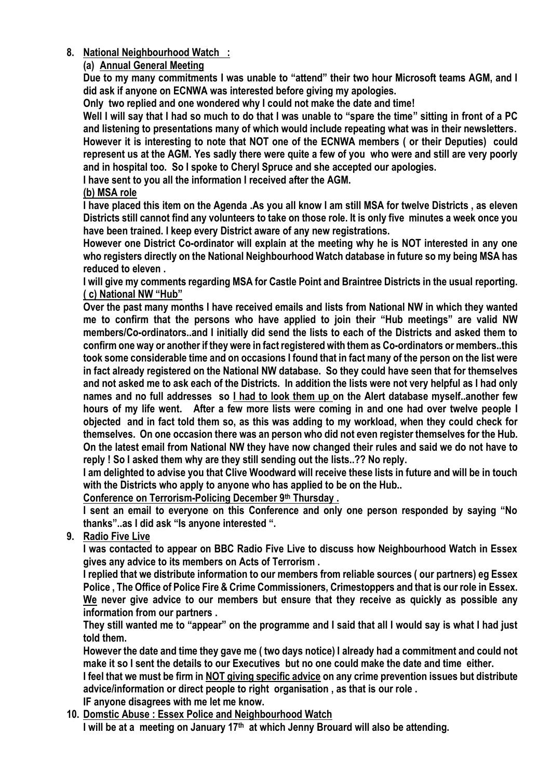# **8. National Neighbourhood Watch :**

### **(a) Annual General Meeting**

**Due to my many commitments I was unable to "attend" their two hour Microsoft teams AGM, and I did ask if anyone on ECNWA was interested before giving my apologies.**

**Only two replied and one wondered why I could not make the date and time!** 

**Well I will say that I had so much to do that I was unable to "spare the time" sitting in front of a PC and listening to presentations many of which would include repeating what was in their newsletters. However it is interesting to note that NOT one of the ECNWA members ( or their Deputies) could represent us at the AGM. Yes sadly there were quite a few of you who were and still are very poorly and in hospital too. So I spoke to Cheryl Spruce and she accepted our apologies.**

**I have sent to you all the information I received after the AGM.**

### **(b) MSA role**

**I have placed this item on the Agenda .As you all know I am still MSA for twelve Districts , as eleven Districts still cannot find any volunteers to take on those role. It is only five minutes a week once you have been trained. I keep every District aware of any new registrations.** 

**However one District Co-ordinator will explain at the meeting why he is NOT interested in any one who registers directly on the National Neighbourhood Watch database in future so my being MSA has reduced to eleven .**

**I will give my comments regarding MSA for Castle Point and Braintree Districts in the usual reporting. ( c) National NW "Hub"** 

**Over the past many months I have received emails and lists from National NW in which they wanted me to confirm that the persons who have applied to join their "Hub meetings" are valid NW members/Co-ordinators..and I initially did send the lists to each of the Districts and asked them to confirm one way or another if they were in fact registered with them as Co-ordinators or members..this took some considerable time and on occasions I found that in fact many of the person on the list were in fact already registered on the National NW database. So they could have seen that for themselves and not asked me to ask each of the Districts. In addition the lists were not very helpful as I had only names and no full addresses so I had to look them up on the Alert database myself..another few hours of my life went. After a few more lists were coming in and one had over twelve people I objected and in fact told them so, as this was adding to my workload, when they could check for themselves. On one occasion there was an person who did not even register themselves for the Hub. On the latest email from National NW they have now changed their rules and said we do not have to reply ! So I asked them why are they still sending out the lists..?? No reply.**

**I am delighted to advise you that Clive Woodward will receive these lists in future and will be in touch with the Districts who apply to anyone who has applied to be on the Hub..**

**Conference on Terrorism-Policing December 9th Thursday .** 

**I sent an email to everyone on this Conference and only one person responded by saying "No thanks"..as I did ask "Is anyone interested ".**

**9. Radio Five Live** 

**I was contacted to appear on BBC Radio Five Live to discuss how Neighbourhood Watch in Essex gives any advice to its members on Acts of Terrorism .**

**I replied that we distribute information to our members from reliable sources ( our partners) eg Essex Police , The Office of Police Fire & Crime Commissioners, Crimestoppers and that is our role in Essex. We never give advice to our members but ensure that they receive as quickly as possible any information from our partners .**

**They still wanted me to "appear" on the programme and I said that all I would say is what I had just told them.** 

**However the date and time they gave me ( two days notice) I already had a commitment and could not make it so I sent the details to our Executives but no one could make the date and time either.**

**I feel that we must be firm in NOT giving specific advice on any crime prevention issues but distribute advice/information or direct people to right organisation , as that is our role .** 

**IF anyone disagrees with me let me know.**

**10. Domstic Abuse : Essex Police and Neighbourhood Watch I will be at a meeting on January 17th at which Jenny Brouard will also be attending.**